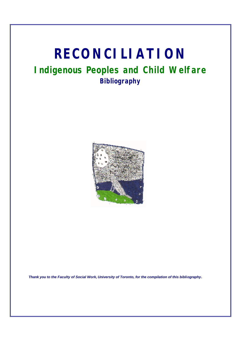# **RECONCILIATION**

# **Indigenous Peoples and Child Welfare Bibliography**



*Thank you to the Faculty of Social Work, University of Toronto, for the compilation of this bibliography.*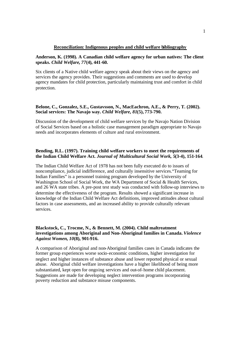#### **Reconciliation: Indigenous peoples and child welfare bibliography**

#### **Anderson, K. (1998). A Canadian child welfare agency for urban natives: The client speaks.** *Child Welfare***,** *77***(4), 441-60.**

Six clients of a Native child welfare agency speak about their views on the agency and services the agency provides. Their suggestions and comments are used to develop agency mandates for child protection, particularly maintaining trust and comfort in child protection.

#### **Belone, C., Gonzalez, S.E., Gustavsson, N., MacEachron, A.E., & Perry, T. (2002). Social services: The Navajo way.** *Child Welfare, 81***(5), 773-790.**

Discussion of the development of child welfare services by the Navajo Nation Division of Social Services based on a holistic case management paradigm appropriate to Navajo needs and incorporates elements of culture and rural environment.

#### **Bending, R.L. (1997). Training child welfare workers to meet the requirements of the Indian Child Welfare Act.** *Journal of Multicultural Social Work, 5***(3-4), 151-164**.

The Indian Child Welfare Act of 1978 has not been fully executed do to issues of noncompliance, judicial indifference, and culturally insensitive services."Teaming for Indian Families" is a personnel training program developed by the University of Washington School of Social Work, the WA Department of Social & Health Services, and 26 WA state tribes. A pre-post test study was conducted with follow-up interviews to determine the effectiveness of the program. Results showed a significant increase in knowledge of the Indian Child Welfare Act definitions, improved attitudes about cultural factors in case assessments, and an increased ability to provide culturally relevant services.

#### **Blackstock, C., Trocme, N., & Bennett, M. (2004). Child maltreatment investigations among Aboriginal and Non-Aboriginal families in Canada.** *Violence Against Women, 10***(8), 901-916.**

A comparison of Aboriginal and non-Aboriginal families cases in Canada indicates the former group experiences worse socio-economic conditions, higher investigation for neglect and higher instances of substance abuse and lower reported physical or sexual abuse. Aboriginal child welfare investigations have a higher likelihood of being more substantiated, kept open for ongoing services and out-of-home child placement. Suggestions are made for developing neglect intervention programs incorporating poverty reduction and substance misuse components.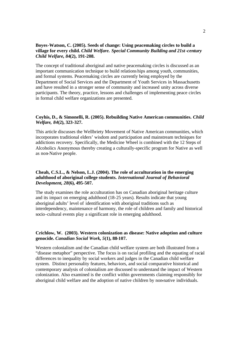# **Boyes-Watson, C. (2005). Seeds of change: Using peacemaking circles to build a village for every child.** *Child Welfare. Special Community Building and 21st-century Child Welfare, 84***(2), 191-208.**

The concept of traditional aboriginal and native peacemaking circles is discussed as an important communication technique to build relationships among youth, communities, and formal systems. Peacemaking circles are currently being employed by the Department of Social Services and the Department of Youth Services in Massachusetts and have resulted in a stronger sense of community and increased unity across diverse participants. The theory, practice, lessons and challenges of implementing peace circles in formal child welfare organizations are presented.

#### **Coyhis, D., & Simonelli, R. (2005). Rebuilding Native American communities.** *Child Welfare, 84***(2), 323-327.**

This article discusses the Wellbriety Movement of Native American communities, which incorporates traditional elders' wisdom and participation and mainstream techniques for addictions recovery. Specifically, the Medicine Wheel is combined with the 12 Steps of Alcoholics Anonymous thereby creating a culturally-specific program for Native as well as non-Native people.

#### **Cheah, C.S.L., & Nelson, L.J. (2004). The role of acculturation in the emerging adulthood of aboriginal college students.** *International Journal of Behavioral Development, 28***(6), 495-507.**

The study examines the role acculturation has on Canadian aboriginal heritage culture and its impact on emerging adulthood (18-25 years). Results indicate that young aboriginal adults' level of identification with aboriginal traditions such as interdependency, maintenance of harmony, the role of children and family and historical socio-cultural events play a significant role in emerging adulthood.

# **Crichlow, W. (2003). Western colonization as disease: Native adoption and culture genocide.** *Canadian Social Work, 5***(1), 88-107.**

Western colonialism and the Canadian child welfare system are both illustrated from a "disease metaphor" perspective. The focus is on racial profiling and the equating of racial differences to inequality by social workers and judges in the Canadian child welfare system. Distinct personality features, behaviors, and social comparative historical and contemporary analysis of colonialism are discussed to understand the impact of Western colonization. Also examined is the conflict within governments claiming responsibly for aboriginal child welfare and the adoption of native children by non-native individuals.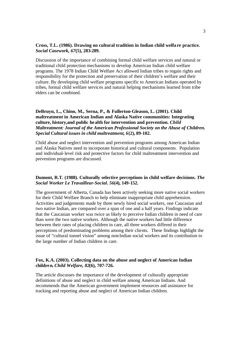#### **Cross, T.L. (1986). Drawing on cultural tradition in Indian child welfa re practice.**  *Social Casework, 67***(5), 283-289.**

Discussion of the importance of combining formal child welfare services and natural or traditional child protection mechanisms to develop American Indian child welfare programs. The 1978 Indian Child Welfare Act allowed Indian tribes to regain rights and responsibility for the protection and preservation of their children's welfare and their culture. By developing child welfare programs specific to American Indians operated by tribes, formal child welfare services and natural helping mechanisms learned from tribe elders can be combined.

**DeBruyn, L., Chino, M., Serna, P., & Fullerton-Gleason, L. (2001). Child maltreatment in American Indian and Alaska Native communities: Integrating culture, history,and public health for intervention and prevention.** *Child Maltreatment: Journal of the American Professional Society on the Abuse of Children. Special Cultural issues in child maltreatment, 6***(2), 89-102.**

Child abuse and neglect intervention and prevention programs among American Indian and Alaska Natives need to incorporate historical and cultural components. Population and individual-level risk and protective factors for child maltreatment intervention and prevention programs are discussed.

#### **Dumont, R.T. (1988). Culturally selective perceptions in child welfare decisions.** *The Social Worker Le Travailleur-Social. 56***(4), 149-152.**

The government of Alberta, Canada has been actively seeking more native social workers for their Child Welfare Branch to help eliminate inappropriate child apprehension. Activities and judgements made by three newly hired social workers, one Caucasian and two native Indian, are compared over a span of one and a half years. Findings indicate that the Caucasian worker was twice as likely to perceive Indian children in need of care than were the two native workers. Although the native workers had little difference between their rates of placing children in care, all three workers differed in their perceptions of predominating problems among their clients. These findings highlight the issue of "cultural tunnel vision" among non-Indian social workers and its contribution to the large number of Indian children in care.

# **Fox, K.A. (2003). Collecting data on the abuse and neglect of American Indian children.** *Child Welfare, 82***(6), 707-726.**

The article discusses the importance of the development of culturally appropriate definitions of abuse and neglect in child welfare among American Indians. And recommends that the American government implement resources and assistance for tracking and reporting abuse and neglect of American Indian children.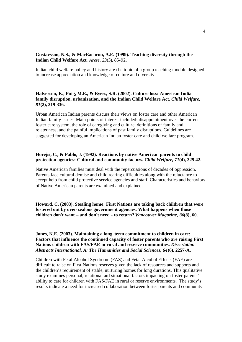#### **Gustavsson, N.S., & MacEachron, A.E. (1999). Teaching diversity through the Indian Child Welfare Act.** *Arete, 23*(3), 85-92.

Indian child welfare policy and history are the topic of a group teaching module designed to increase appreciation and knowledge of culture and diversity.

### **Halverson, K., Puig, M.E., & Byers, S.R. (2002). Culture loss: American India family disruption, urbanization, and the Indian Child Welfare Act.** *Child Welfare, 81***(2), 319-336.**

Urban American Indian parents discuss their views on foster care and other American Indian family issues. Main points of interest included: disappointment over the current foster care system, the role of caregiving and culture, definitions of family and relatedness, and the painful implications of past family disruptions. Guidelines are suggested for developing an American Indian foster care and child welfare program.

#### **Horejsi, C., & Pablo, J. (1992). Reactions by native American parents to child protection agencies: Cultural and community factors.** *Child Welfare, 71***(4), 329-42.**

Native American families must deal with the repercussions of decades of oppression. Parents face cultural demise and child rearing difficulties along with the reluctance to accept help from child protective service agencies and staff. Characteristics and behaviors of Native American parents are examined and explained.

**Howard, C. (2003). Stealing home: First Nations are taking back children that were fostered out by over-zealous government agencies. What happens when those children don't want – and don't need - to return?** *Vancouver Magazine, 36***(8), 60.**

**Jones, K.E. (2003). Maintaining a long-term commitment to children in care: Factors that influence the continued capacity of foster parents who are raising First Nations children with FAS/FAE in rural and reserve communities.** *Dissertation Abstracts International, A: The Humanities and Social Sciences, 64***(6), 2257-A.**

Children with Fetal Alcohol Syndrome (FAS) and Fetal Alcohol Effects (FAE) are difficult to raise on First Nations reserves given the lack of resources and supports and the children's requirement of stable, nurturing homes for long durations. This qualitative study examines personal, relational and situational factors impacting on foster parents' ability to care for children with FAS/FAE in rural or reserve environments. The study's results indicate a need for increased collaboration between foster parents and community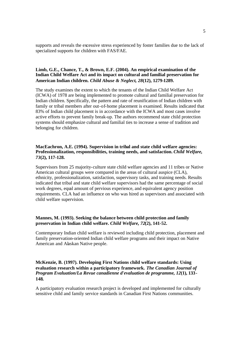supports and reveals the excessive stress experienced by foster families due to the lack of specialized supports for children with FAS/FAE.

# **Limb, G.E., Chance, T., & Brown, E.F. (2004). An empirical examination of the Indian Child Welfare Act and its impact on cultural and familial preservation for American Indian children.** *Child Abuse & Neglect, 28***(12), 1279-1289.**

The study examines the extent to which the tenants of the Indian Child Welfare Act (ICWA) of 1978 are being implemented to promote cultural and familial preservation for Indian children. Specifically, the pattern and rate of reunification of Indian children with family or tribal members after out-of-home placement is examined. Results indicated that 83% of Indian child placement is in accordance with the ICWA and most cases involve active efforts to prevent family break-up. The authors recommend state child protection systems should emphasize cultural and familial ties to increase a sense of tradition and belonging for children.

# **MacEachron, A.E. (1994). Supervision in tribal and state child welfare agencies: Professionalization, responsibilities, training needs, and satisfaction.** *Child Welfare, 73***(2), 117-128.**

Supervisors from 25 majority-culture state child welfare agencies and 11 tribes or Native American cultural groups were compared in the areas of cultural auspice (CLA), ethnicity, professionalization, satisfaction, supervisory tasks, and training needs. Results indicated that tribal and state child welfare supervisors had the same percentage of social work degrees, equal amount of pervious experience, and equivalent agency position requirements. CLA had an influence on who was hired as supervisors and associated with child welfare supervision.

#### **Mannes, M. (1993). Seeking the balance between child protection and family preservation in Indian child welfare.** *Child Welfare, 72***(2), 141-52.**

Contemporary Indian child welfare is reviewed including child protection, placement and family preservation-oriented Indian child welfare programs and their impact on Native American and Alaskan Native people.

# **McKenzie, B. (1997). Developing First Nations child welfare standards: Using evaluation research within a participatory framework.** *The Canadian Journal of Program Evaluation/La Revue canadienne d'evaluation de programme, 12***(1), 133- 148.**

A participatory evaluation research project is developed and implemented for culturally sensitive child and family service standards in Canadian First Nations communities.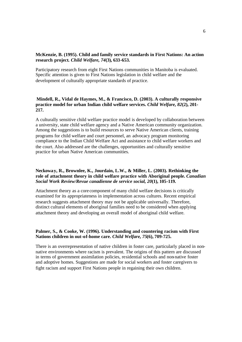# **McKenzie, B. (1995). Child and family service standards in First Nations: An action research project***. Child Welfare, 74***(3), 633-653.**

Participatory research from eight First Nations communities in Manitoba is evaluated. Specific attention is given to First Nations legislation in child welfare and the development of culturally appropriate standards of practice.

# **Mindell, R., Vidal de Haymes, M., & Francisco, D. (2003). A culturally responsive practice model for urban Indian child welfare services.** *Child Welfare, 82***(2), 201- 217.**

A culturally sensitive child welfare practice model is developed by collaboration between a university, state child welfare agency and a Native American community organization. Among the suggestions is to build resources to serve Native American clients, training programs for child welfare and court personnel, an advocacy program monitoring compliance to the Indian Child Welfare Act and assistance to child welfare workers and the court. Also addressed are the challenges, opportunities and culturally sensitive practice for urban Native American communities.

# **Neckoway, R., Brownlee, K., Jourdain, L.W., & Miller, L. (2003). Rethinking the role of attachment theory in child welfare practice with Aboriginal people.** *Canadian Social Work Review/Revue canadienne de service social, 20***(1), 105-119.**

Attachment theory as a core component of many child welfare decisions is critically examined for its appropriateness in implementation across cultures. Recent empirical research suggests attachment theory may not be applicable universally. Therefore, distinct cultural elements of aboriginal families need to be considered when applying attachment theory and developing an overall model of aboriginal child welfare.

# **Palmer, S., & Cooke, W. (1996). Understanding and countering racism with First Nations children in out-of-home care.** *Child Welfare, 75***(6), 709-725.**

There is an overrepresentation of native children in foster care, particularly placed in nonnative environments where racism is prevalent. The origins of this pattern are discussed in terms of government assimilation policies, residential schools and non-native foster and adoptive homes. Suggestions are made for social workers and foster caregivers to fight racism and support First Nations people in regaining their own children.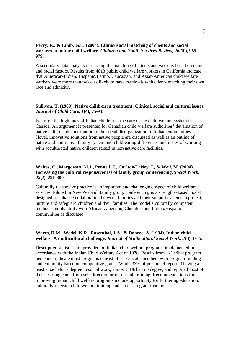#### **Perry, R., & Limb, G.E. (2004). Ethnic/Racial matching of clients and social workers in public child welfare.** *Children and Youth Services Review, 26***(10), 965- 979.**

A secondary data analysis discussing the matching of clients and workers based on ethnic and racial factors. Results from 4813 public child welfare workers in California indicate that American-Indian, Hispanic/Latino, Caucasian, and Asian-American child welfare workers were more than twice as likely to have caseloads with clients matching their own race and ethnicity.

#### **Sullivan, T. (1983). Native children in treatment: Clinical, social and cultural issues.**  *Journal of Child Care, 1***(4), 75-94.**

Focus on the high rates of Indian children in the care of the child welfare system in Canada. An argument is presented for Canadian child welfare authorities' devaluation of native culture and contribution to the social disorganization in Indian communities. Novel, innovative solutions from native people are discussed as well as an outline of native and non-native family system and childrearing differences and issues of working with acculturated native children raised in non-native care facilities.

#### **Waites, C., Macgowan, M.J., Pennell, J., Carlton-LaNey, I., & Weil, M. (2004). Increasing the cultural responsiveness of family group conferencing.** *Social Work, 49***(2), 291-300.**

Culturally responsive practice is an important and challenging aspect of child welfare services. Piloted in New Zealand, family group conferencing is a strengths-based model designed to enhance collaboration between families and their support systems to protect, nurture and safeguard children and their families. The model's culturally competent methods and its utility with African American, Cherokee and Latino/Hispanic communities is discussed.

# **Wares, D.M., Wedel, K.R., Rosenthal, J.A., & Dobrec, A. (1994). Indian child welfare: A multicultural challenge.** *Journal of Multicultural Social Work, 3***(3), 1-15.**

Descriptive statistics are provided on Indian child welfare programs implemented in accordance with the Indian Child Welfare Act of 1978. Results from 121 tribal program personnel indicate most programs consist of 1 to 5 staff members with program funding and continuity based on competitive grants. While 33% of personnel reported having at least a bachelor's degree in social work, almost 33% had no degree, and reported most of their learning came from self-direction or on-the-job training. Recommendations for improving Indian child welfare programs include opportunity for furthering education, culturally relevant child welfare training and stable program funding.